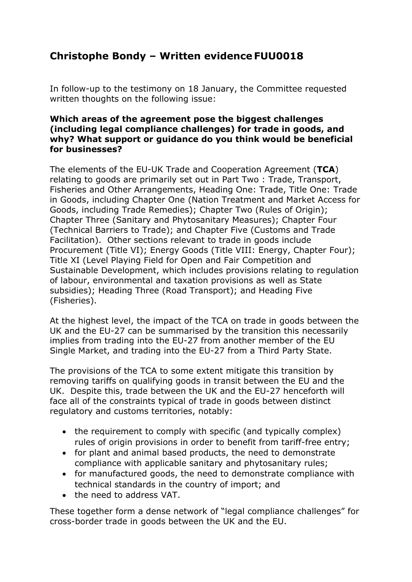## **Christophe Bondy – Written evidence FUU0018**

In follow-up to the testimony on 18 January, the Committee requested written thoughts on the following issue:

## **Which areas of the agreement pose the biggest challenges (including legal compliance challenges) for trade in goods, and why? What support or guidance do you think would be beneficial for businesses?**

The elements of the EU-UK Trade and Cooperation Agreement (**TCA**) relating to goods are primarily set out in Part Two : Trade, Transport, Fisheries and Other Arrangements, Heading One: Trade, Title One: Trade in Goods, including Chapter One (Nation Treatment and Market Access for Goods, including Trade Remedies); Chapter Two (Rules of Origin); Chapter Three (Sanitary and Phytosanitary Measures); Chapter Four (Technical Barriers to Trade); and Chapter Five (Customs and Trade Facilitation). Other sections relevant to trade in goods include Procurement (Title VI); Energy Goods (Title VIII: Energy, Chapter Four); Title XI (Level Playing Field for Open and Fair Competition and Sustainable Development, which includes provisions relating to regulation of labour, environmental and taxation provisions as well as State subsidies); Heading Three (Road Transport); and Heading Five (Fisheries).

At the highest level, the impact of the TCA on trade in goods between the UK and the EU-27 can be summarised by the transition this necessarily implies from trading into the EU-27 from another member of the EU Single Market, and trading into the EU-27 from a Third Party State.

The provisions of the TCA to some extent mitigate this transition by removing tariffs on qualifying goods in transit between the EU and the UK. Despite this, trade between the UK and the EU-27 henceforth will face all of the constraints typical of trade in goods between distinct regulatory and customs territories, notably:

- the requirement to comply with specific (and typically complex) rules of origin provisions in order to benefit from tariff-free entry;
- for plant and animal based products, the need to demonstrate compliance with applicable sanitary and phytosanitary rules;
- for manufactured goods, the need to demonstrate compliance with technical standards in the country of import; and
- the need to address VAT.

These together form a dense network of "legal compliance challenges" for cross-border trade in goods between the UK and the EU.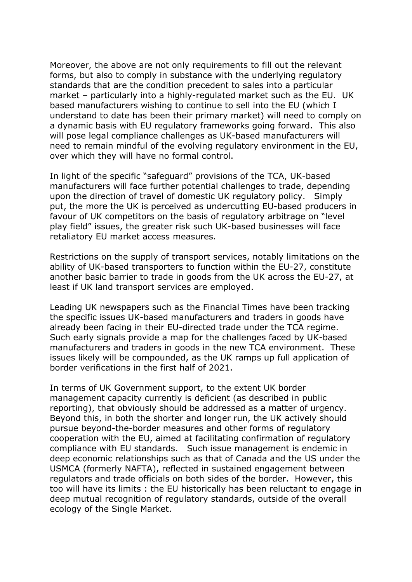Moreover, the above are not only requirements to fill out the relevant forms, but also to comply in substance with the underlying regulatory standards that are the condition precedent to sales into a particular market – particularly into a highly-regulated market such as the EU. UK based manufacturers wishing to continue to sell into the EU (which I understand to date has been their primary market) will need to comply on a dynamic basis with EU regulatory frameworks going forward. This also will pose legal compliance challenges as UK-based manufacturers will need to remain mindful of the evolving regulatory environment in the EU, over which they will have no formal control.

In light of the specific "safeguard" provisions of the TCA, UK-based manufacturers will face further potential challenges to trade, depending upon the direction of travel of domestic UK regulatory policy. Simply put, the more the UK is perceived as undercutting EU-based producers in favour of UK competitors on the basis of regulatory arbitrage on "level play field" issues, the greater risk such UK-based businesses will face retaliatory EU market access measures.

Restrictions on the supply of transport services, notably limitations on the ability of UK-based transporters to function within the EU-27, constitute another basic barrier to trade in goods from the UK across the EU-27, at least if UK land transport services are employed.

Leading UK newspapers such as the Financial Times have been tracking the specific issues UK-based manufacturers and traders in goods have already been facing in their EU-directed trade under the TCA regime. Such early signals provide a map for the challenges faced by UK-based manufacturers and traders in goods in the new TCA environment. These issues likely will be compounded, as the UK ramps up full application of border verifications in the first half of 2021.

In terms of UK Government support, to the extent UK border management capacity currently is deficient (as described in public reporting), that obviously should be addressed as a matter of urgency. Beyond this, in both the shorter and longer run, the UK actively should pursue beyond-the-border measures and other forms of regulatory cooperation with the EU, aimed at facilitating confirmation of regulatory compliance with EU standards. Such issue management is endemic in deep economic relationships such as that of Canada and the US under the USMCA (formerly NAFTA), reflected in sustained engagement between regulators and trade officials on both sides of the border. However, this too will have its limits : the EU historically has been reluctant to engage in deep mutual recognition of regulatory standards, outside of the overall ecology of the Single Market.